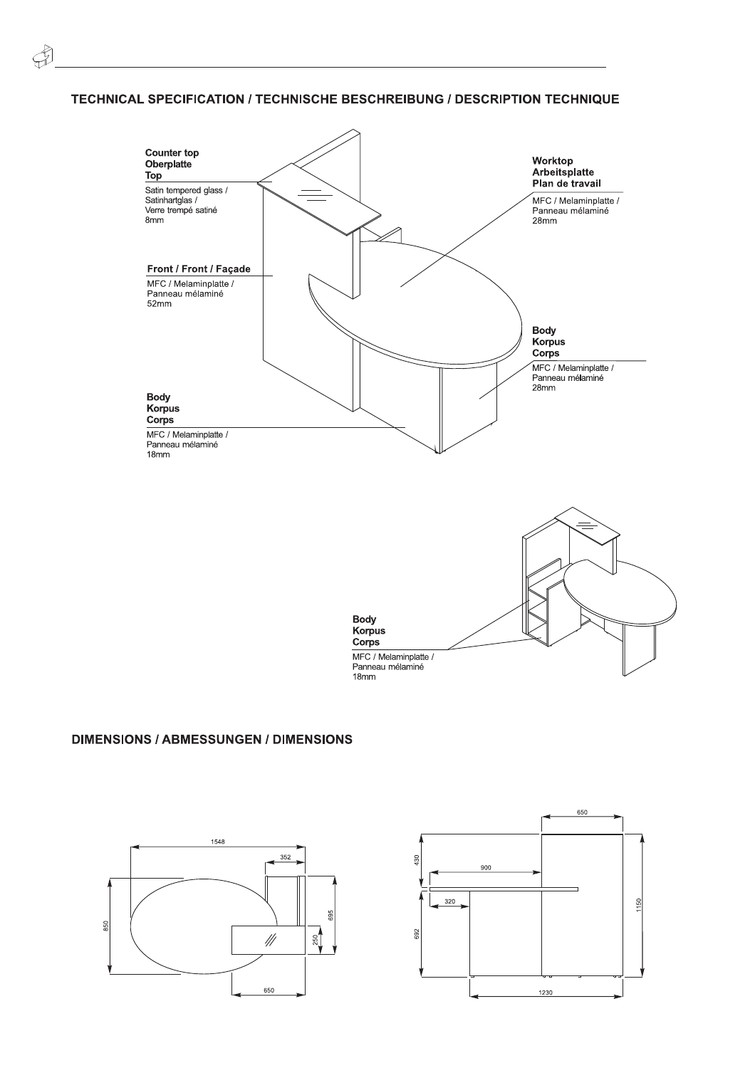## TECHNICAL SPECIFICATION / TECHNISCHE BESCHREIBUNG / DESCRIPTION TECHNIQUE



## **DIMENSIONS / ABMESSUNGEN / DIMENSIONS**



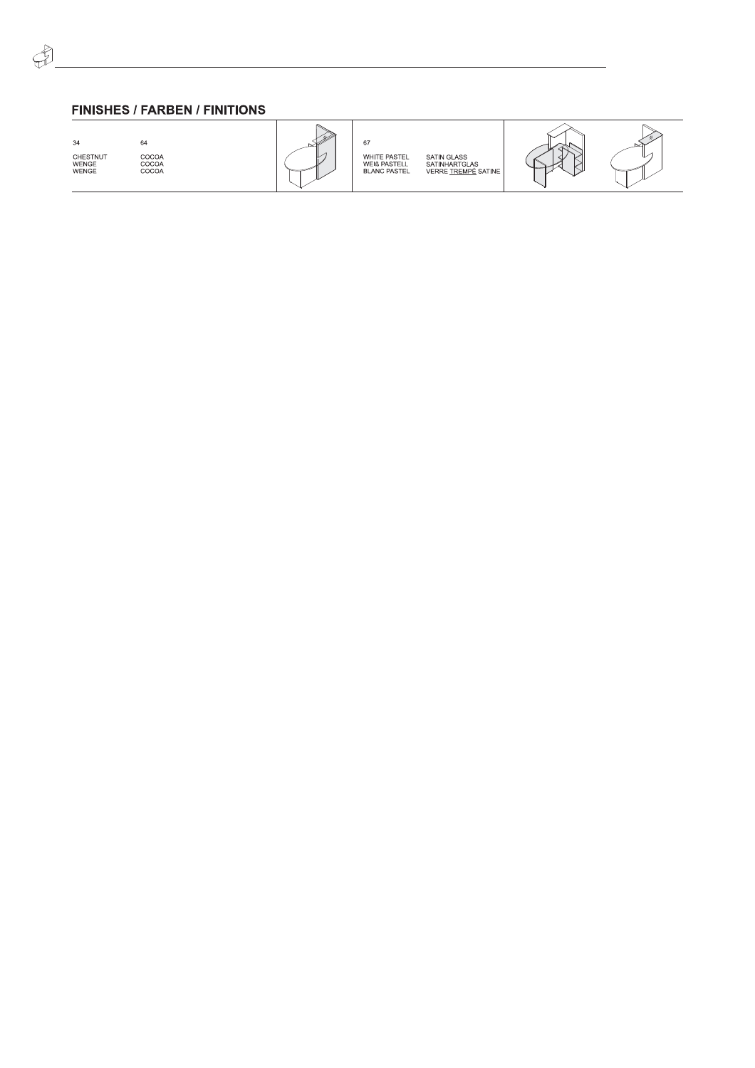## FINISHES / FARBEN / FINITIONS

34<br>CHESTNUT<br>WENGE<br>WENGE



SATIN GLASS<br>SATINHARTGLAS<br>VERRE <u>TREMPÉ</u> SATINE